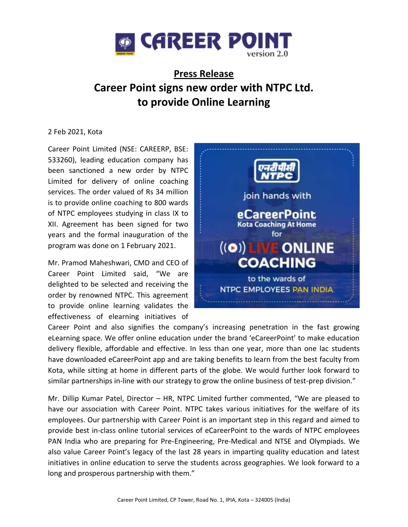

## **Press Release Career Point signs new order with NTPC Ltd. to provide Online Learning**

## 2 Feb 2021, Kota

Career Point Limited (NSE: CAREERP, BSE: 533260), leading education company has been sanctioned a new order by NTPC Limited for delivery of online coaching services. The order valued of Rs 34 million is to provide online coaching to 800 wards of NTPC employees studying in class IX to XII. Agreement has been signed for two years and the formal inauguration of the program was done on 1 February 2021.

Mr. Pramod Maheshwari, CMD and CEO of Career Point Limited said, "We are delighted to be selected and receiving the order by renowned NTPC. This agreement to provide online learning validates the effectiveness of elearning initiatives of



Career Point and also signifies the company's increasing penetration in the fast growing eLearning space. We offer online education under the brand 'eCareerPoint' to make education delivery flexible, affordable and effective. In less than one year, more than one lac students have downloaded eCareerPoint app and are taking benefits to learn from the best faculty from Kota, while sitting at home in different parts of the globe. We would further look forward to similar partnerships in-line with our strategy to grow the online business of test-prep division."

Mr. Dillip Kumar Patel, Director – HR, NTPC Limited further commented, "We are pleased to have our association with Career Point. NTPC takes various initiatives for the welfare of its employees. Our partnership with Career Point is an important step in this regard and aimed to provide best in-class online tutorial services of eCareerPoint to the wards of NTPC employees PAN India who are preparing for Pre-Engineering, Pre-Medical and NTSE and Olympiads. We also value Career Point's legacy of the last 28 years in imparting quality education and latest initiatives in online education to serve the students across geographies. We look forward to a long and prosperous partnership with them."